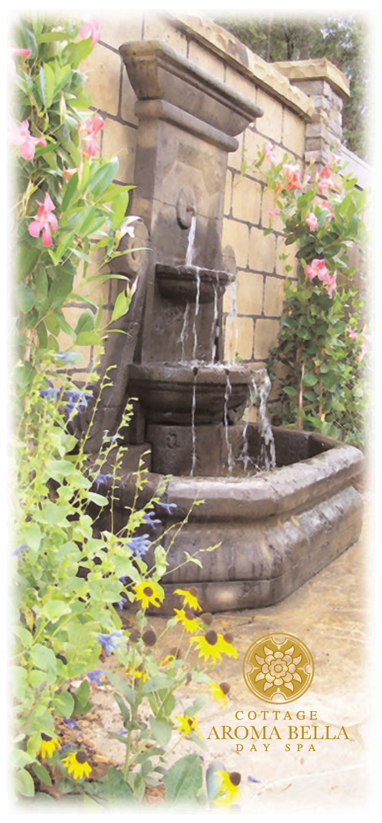